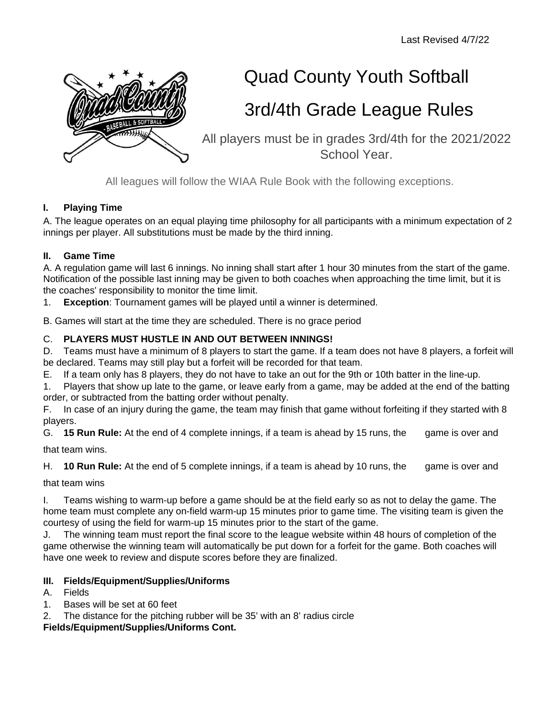

# Quad County Youth Softball

# 3rd/4th Grade League Rules

All players must be in grades 3rd/4th for the 2021/2022 School Year.

All leagues will follow the WIAA Rule Book with the following exceptions.

# **I. Playing Time**

A. The league operates on an equal playing time philosophy for all participants with a minimum expectation of 2 innings per player. All substitutions must be made by the third inning.

# **II. Game Time**

A. A regulation game will last 6 innings. No inning shall start after 1 hour 30 minutes from the start of the game. Notification of the possible last inning may be given to both coaches when approaching the time limit, but it is the coaches' responsibility to monitor the time limit.

1. **Exception**: Tournament games will be played until a winner is determined.

B. Games will start at the time they are scheduled. There is no grace period

# C. **PLAYERS MUST HUSTLE IN AND OUT BETWEEN INNINGS!**

D. Teams must have a minimum of 8 players to start the game. If a team does not have 8 players, a forfeit will be declared. Teams may still play but a forfeit will be recorded for that team.

E. If a team only has 8 players, they do not have to take an out for the 9th or 10th batter in the line-up.

1. Players that show up late to the game, or leave early from a game, may be added at the end of the batting order, or subtracted from the batting order without penalty.

F. In case of an injury during the game, the team may finish that game without forfeiting if they started with 8 players.

G. **15 Run Rule:** At the end of 4 complete innings, if a team is ahead by 15 runs, the game is over and

that team wins.

H. **10 Run Rule:** At the end of 5 complete innings, if a team is ahead by 10 runs, the game is over and

that team wins

I. Teams wishing to warm-up before a game should be at the field early so as not to delay the game. The home team must complete any on-field warm-up 15 minutes prior to game time. The visiting team is given the courtesy of using the field for warm-up 15 minutes prior to the start of the game.

J. The winning team must report the final score to the league website within 48 hours of completion of the game otherwise the winning team will automatically be put down for a forfeit for the game. Both coaches will have one week to review and dispute scores before they are finalized.

# **III. Fields/Equipment/Supplies/Uniforms**

- A. Fields
- 1. Bases will be set at 60 feet
- 2. The distance for the pitching rubber will be 35' with an 8' radius circle

**Fields/Equipment/Supplies/Uniforms Cont.**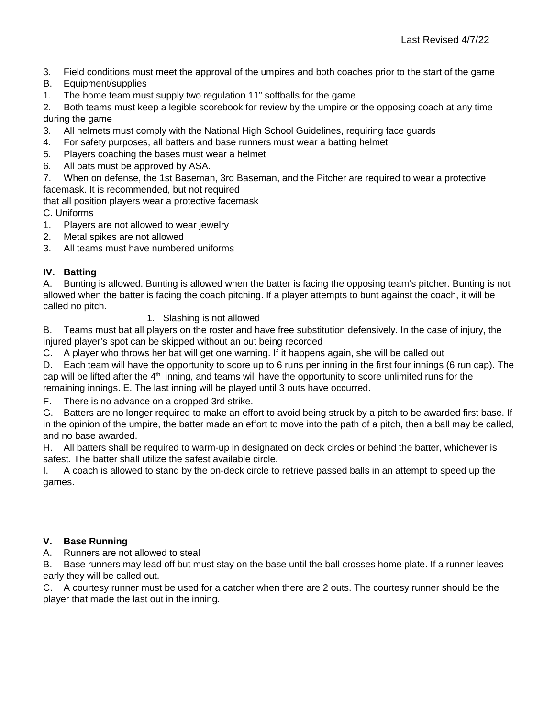- 3. Field conditions must meet the approval of the umpires and both coaches prior to the start of the game
- B. Equipment/supplies
- 1. The home team must supply two regulation 11" softballs for the game

2. Both teams must keep a legible scorebook for review by the umpire or the opposing coach at any time during the game

- 3. All helmets must comply with the National High School Guidelines, requiring face guards
- 4. For safety purposes, all batters and base runners must wear a batting helmet
- 5. Players coaching the bases must wear a helmet
- 6. All bats must be approved by ASA.

7. When on defense, the 1st Baseman, 3rd Baseman, and the Pitcher are required to wear a protective facemask. It is recommended, but not required

that all position players wear a protective facemask

C. Uniforms

- 1. Players are not allowed to wear jewelry
- 2. Metal spikes are not allowed
- 3. All teams must have numbered uniforms

# **IV. Batting**

A. Bunting is allowed. Bunting is allowed when the batter is facing the opposing team's pitcher. Bunting is not allowed when the batter is facing the coach pitching. If a player attempts to bunt against the coach, it will be called no pitch.

1. Slashing is not allowed

B. Teams must bat all players on the roster and have free substitution defensively. In the case of injury, the injured player's spot can be skipped without an out being recorded

C. A player who throws her bat will get one warning. If it happens again, she will be called out

D. Each team will have the opportunity to score up to 6 runs per inning in the first four innings (6 run cap). The cap will be lifted after the 4<sup>th</sup> inning, and teams will have the opportunity to score unlimited runs for the remaining innings. E. The last inning will be played until 3 outs have occurred.

F. There is no advance on a dropped 3rd strike.

G. Batters are no longer required to make an effort to avoid being struck by a pitch to be awarded first base. If in the opinion of the umpire, the batter made an effort to move into the path of a pitch, then a ball may be called, and no base awarded.

H. All batters shall be required to warm-up in designated on deck circles or behind the batter, whichever is safest. The batter shall utilize the safest available circle.

I. A coach is allowed to stand by the on-deck circle to retrieve passed balls in an attempt to speed up the games.

## **V. Base Running**

A. Runners are not allowed to steal

B. Base runners may lead off but must stay on the base until the ball crosses home plate. If a runner leaves early they will be called out.

C. A courtesy runner must be used for a catcher when there are 2 outs. The courtesy runner should be the player that made the last out in the inning.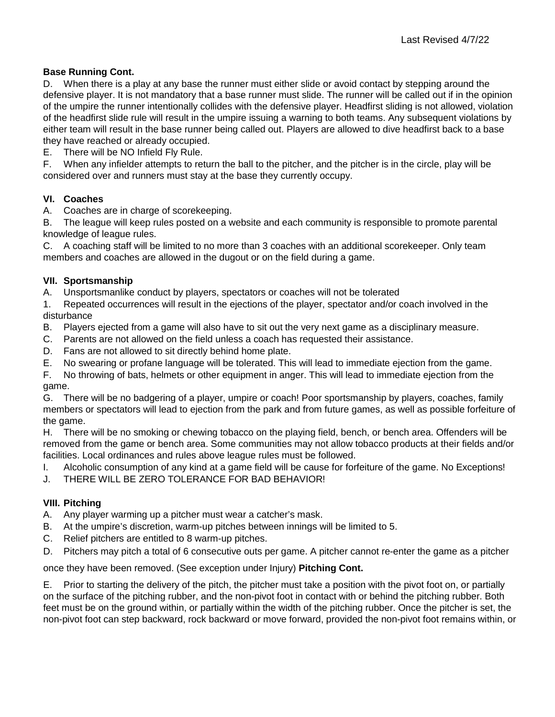### **Base Running Cont.**

D. When there is a play at any base the runner must either slide or avoid contact by stepping around the defensive player. It is not mandatory that a base runner must slide. The runner will be called out if in the opinion of the umpire the runner intentionally collides with the defensive player. Headfirst sliding is not allowed, violation of the headfirst slide rule will result in the umpire issuing a warning to both teams. Any subsequent violations by either team will result in the base runner being called out. Players are allowed to dive headfirst back to a base they have reached or already occupied.

E. There will be NO Infield Fly Rule.

F. When any infielder attempts to return the ball to the pitcher, and the pitcher is in the circle, play will be considered over and runners must stay at the base they currently occupy.

#### **VI. Coaches**

A. Coaches are in charge of scorekeeping.

B. The league will keep rules posted on a website and each community is responsible to promote parental knowledge of league rules.

C. A coaching staff will be limited to no more than 3 coaches with an additional scorekeeper. Only team members and coaches are allowed in the dugout or on the field during a game.

#### **VII. Sportsmanship**

A. Unsportsmanlike conduct by players, spectators or coaches will not be tolerated

1. Repeated occurrences will result in the ejections of the player, spectator and/or coach involved in the disturbance

B. Players ejected from a game will also have to sit out the very next game as a disciplinary measure.

C. Parents are not allowed on the field unless a coach has requested their assistance.

- D. Fans are not allowed to sit directly behind home plate.
- E. No swearing or profane language will be tolerated. This will lead to immediate ejection from the game.

F. No throwing of bats, helmets or other equipment in anger. This will lead to immediate ejection from the game.

G. There will be no badgering of a player, umpire or coach! Poor sportsmanship by players, coaches, family members or spectators will lead to ejection from the park and from future games, as well as possible forfeiture of the game.

H. There will be no smoking or chewing tobacco on the playing field, bench, or bench area. Offenders will be removed from the game or bench area. Some communities may not allow tobacco products at their fields and/or facilities. Local ordinances and rules above league rules must be followed.

I. Alcoholic consumption of any kind at a game field will be cause for forfeiture of the game. No Exceptions!

J. THERE WILL BE ZERO TOLERANCE FOR BAD BEHAVIOR!

## **VIII. Pitching**

- A. Any player warming up a pitcher must wear a catcher's mask.
- B. At the umpire's discretion, warm-up pitches between innings will be limited to 5.
- C. Relief pitchers are entitled to 8 warm-up pitches.
- D. Pitchers may pitch a total of 6 consecutive outs per game. A pitcher cannot re-enter the game as a pitcher

once they have been removed. (See exception under Injury) **Pitching Cont.** 

E. Prior to starting the delivery of the pitch, the pitcher must take a position with the pivot foot on, or partially on the surface of the pitching rubber, and the non-pivot foot in contact with or behind the pitching rubber. Both feet must be on the ground within, or partially within the width of the pitching rubber. Once the pitcher is set, the non-pivot foot can step backward, rock backward or move forward, provided the non-pivot foot remains within, or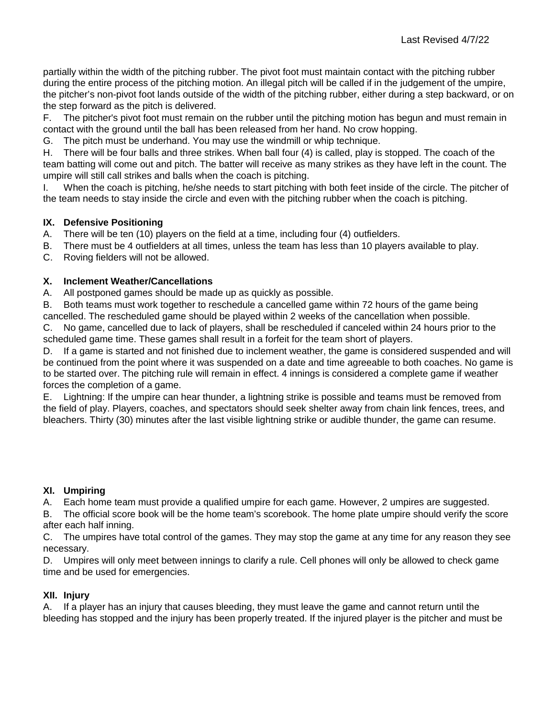partially within the width of the pitching rubber. The pivot foot must maintain contact with the pitching rubber during the entire process of the pitching motion. An illegal pitch will be called if in the judgement of the umpire, the pitcher's non-pivot foot lands outside of the width of the pitching rubber, either during a step backward, or on the step forward as the pitch is delivered.

F. The pitcher's pivot foot must remain on the rubber until the pitching motion has begun and must remain in contact with the ground until the ball has been released from her hand. No crow hopping.

G. The pitch must be underhand. You may use the windmill or whip technique.

H. There will be four balls and three strikes. When ball four (4) is called, play is stopped. The coach of the team batting will come out and pitch. The batter will receive as many strikes as they have left in the count. The umpire will still call strikes and balls when the coach is pitching.

I. When the coach is pitching, he/she needs to start pitching with both feet inside of the circle. The pitcher of the team needs to stay inside the circle and even with the pitching rubber when the coach is pitching.

# **IX. Defensive Positioning**

- A. There will be ten (10) players on the field at a time, including four (4) outfielders.
- B. There must be 4 outfielders at all times, unless the team has less than 10 players available to play.

C. Roving fielders will not be allowed.

## **X. Inclement Weather/Cancellations**

A. All postponed games should be made up as quickly as possible.

B. Both teams must work together to reschedule a cancelled game within 72 hours of the game being cancelled. The rescheduled game should be played within 2 weeks of the cancellation when possible.

C. No game, cancelled due to lack of players, shall be rescheduled if canceled within 24 hours prior to the scheduled game time. These games shall result in a forfeit for the team short of players.

D. If a game is started and not finished due to inclement weather, the game is considered suspended and will be continued from the point where it was suspended on a date and time agreeable to both coaches. No game is to be started over. The pitching rule will remain in effect. 4 innings is considered a complete game if weather forces the completion of a game.

E. Lightning: If the umpire can hear thunder, a lightning strike is possible and teams must be removed from the field of play. Players, coaches, and spectators should seek shelter away from chain link fences, trees, and bleachers. Thirty (30) minutes after the last visible lightning strike or audible thunder, the game can resume.

## **XI. Umpiring**

A. Each home team must provide a qualified umpire for each game. However, 2 umpires are suggested.

B. The official score book will be the home team's scorebook. The home plate umpire should verify the score after each half inning.

C. The umpires have total control of the games. They may stop the game at any time for any reason they see necessary.

D. Umpires will only meet between innings to clarify a rule. Cell phones will only be allowed to check game time and be used for emergencies.

## **XII. Injury**

A. If a player has an injury that causes bleeding, they must leave the game and cannot return until the bleeding has stopped and the injury has been properly treated. If the injured player is the pitcher and must be